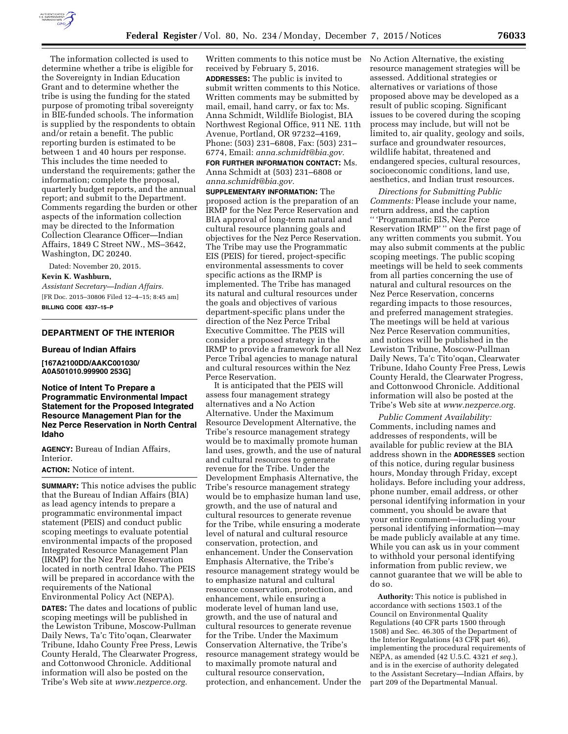

The information collected is used to determine whether a tribe is eligible for the Sovereignty in Indian Education Grant and to determine whether the tribe is using the funding for the stated purpose of promoting tribal sovereignty in BIE-funded schools. The information is supplied by the respondents to obtain and/or retain a benefit. The public reporting burden is estimated to be between 1 and 40 hours per response. This includes the time needed to understand the requirements; gather the information; complete the proposal, quarterly budget reports, and the annual report; and submit to the Department. Comments regarding the burden or other aspects of the information collection may be directed to the Information Collection Clearance Officer—Indian Affairs, 1849 C Street NW., MS–3642, Washington, DC 20240.

Dated: November 20, 2015. **Kevin K. Washburn,** 

*Assistant Secretary—Indian Affairs.*  [FR Doc. 2015–30806 Filed 12–4–15; 8:45 am] **BILLING CODE 4337–15–P** 

# **DEPARTMENT OF THE INTERIOR**

#### **Bureau of Indian Affairs**

**[167A2100DD/AAKC001030/ A0A501010.999900 253G]** 

# **Notice of Intent To Prepare a Programmatic Environmental Impact Statement for the Proposed Integrated Resource Management Plan for the Nez Perce Reservation in North Central Idaho**

**AGENCY:** Bureau of Indian Affairs, Interior.

#### **ACTION:** Notice of intent.

**SUMMARY:** This notice advises the public that the Bureau of Indian Affairs (BIA) as lead agency intends to prepare a programmatic environmental impact statement (PEIS) and conduct public scoping meetings to evaluate potential environmental impacts of the proposed Integrated Resource Management Plan (IRMP) for the Nez Perce Reservation located in north central Idaho. The PEIS will be prepared in accordance with the requirements of the National Environmental Policy Act (NEPA).

**DATES:** The dates and locations of public scoping meetings will be published in the Lewiston Tribune, Moscow-Pullman Daily News, Ta'c Tito'oqan, Clearwater Tribune, Idaho County Free Press, Lewis County Herald, The Clearwater Progress, and Cottonwood Chronicle. Additional information will also be posted on the Tribe's Web site at *[www.nezperce.org.](http://www.nezperce.org)* 

Written comments to this notice must be received by February 5, 2016. **ADDRESSES:** The public is invited to submit written comments to this Notice. Written comments may be submitted by mail, email, hand carry, or fax to: Ms. Anna Schmidt, Wildlife Biologist, BIA Northwest Regional Office, 911 NE. 11th Avenue, Portland, OR 97232–4169, Phone: (503) 231–6808, Fax: (503) 231– 6774, Email: *[anna.schmidt@bia.gov.](mailto:anna.schmidt@bia.gov)* 

**FOR FURTHER INFORMATION CONTACT:** Ms. Anna Schmidt at (503) 231–6808 or *[anna.schmidt@bia.gov.](mailto:anna.schmidt@bia.gov)* 

**SUPPLEMENTARY INFORMATION:** The proposed action is the preparation of an IRMP for the Nez Perce Reservation and BIA approval of long-term natural and cultural resource planning goals and objectives for the Nez Perce Reservation. The Tribe may use the Programmatic EIS (PEIS) for tiered, project-specific environmental assessments to cover specific actions as the IRMP is implemented. The Tribe has managed its natural and cultural resources under the goals and objectives of various department-specific plans under the direction of the Nez Perce Tribal Executive Committee. The PEIS will consider a proposed strategy in the IRMP to provide a framework for all Nez Perce Tribal agencies to manage natural and cultural resources within the Nez Perce Reservation.

It is anticipated that the PEIS will assess four management strategy alternatives and a No Action Alternative. Under the Maximum Resource Development Alternative, the Tribe's resource management strategy would be to maximally promote human land uses, growth, and the use of natural and cultural resources to generate revenue for the Tribe. Under the Development Emphasis Alternative, the Tribe's resource management strategy would be to emphasize human land use, growth, and the use of natural and cultural resources to generate revenue for the Tribe, while ensuring a moderate level of natural and cultural resource conservation, protection, and enhancement. Under the Conservation Emphasis Alternative, the Tribe's resource management strategy would be to emphasize natural and cultural resource conservation, protection, and enhancement, while ensuring a moderate level of human land use, growth, and the use of natural and cultural resources to generate revenue for the Tribe. Under the Maximum Conservation Alternative, the Tribe's resource management strategy would be to maximally promote natural and cultural resource conservation, protection, and enhancement. Under the No Action Alternative, the existing resource management strategies will be assessed. Additional strategies or alternatives or variations of those proposed above may be developed as a result of public scoping. Significant issues to be covered during the scoping process may include, but will not be limited to, air quality, geology and soils, surface and groundwater resources, wildlife habitat, threatened and endangered species, cultural resources, socioeconomic conditions, land use, aesthetics, and Indian trust resources.

*Directions for Submitting Public Comments:* Please include your name, return address, and the caption '' 'Programmatic EIS, Nez Perce Reservation IRMP' '' on the first page of any written comments you submit. You may also submit comments at the public scoping meetings. The public scoping meetings will be held to seek comments from all parties concerning the use of natural and cultural resources on the Nez Perce Reservation, concerns regarding impacts to those resources, and preferred management strategies. The meetings will be held at various Nez Perce Reservation communities, and notices will be published in the Lewiston Tribune, Moscow-Pullman Daily News, Ta'c Tito'oqan, Clearwater Tribune, Idaho County Free Press, Lewis County Herald, the Clearwater Progress, and Cottonwood Chronicle. Additional information will also be posted at the Tribe's Web site at *[www.nezperce.org.](http://www.nezperce.org)* 

*Public Comment Availability:*  Comments, including names and addresses of respondents, will be available for public review at the BIA address shown in the **ADDRESSES** section of this notice, during regular business hours, Monday through Friday, except holidays. Before including your address, phone number, email address, or other personal identifying information in your comment, you should be aware that your entire comment—including your personal identifying information—may be made publicly available at any time. While you can ask us in your comment to withhold your personal identifying information from public review, we cannot guarantee that we will be able to do so.

**Authority:** This notice is published in accordance with sections 1503.1 of the Council on Environmental Quality Regulations (40 CFR parts 1500 through 1508) and Sec. 46.305 of the Department of the Interior Regulations (43 CFR part 46), implementing the procedural requirements of NEPA, as amended (42 U.5.C. 4321 *et seq.*), and is in the exercise of authority delegated to the Assistant Secretary—Indian Affairs, by part 209 of the Departmental Manual.